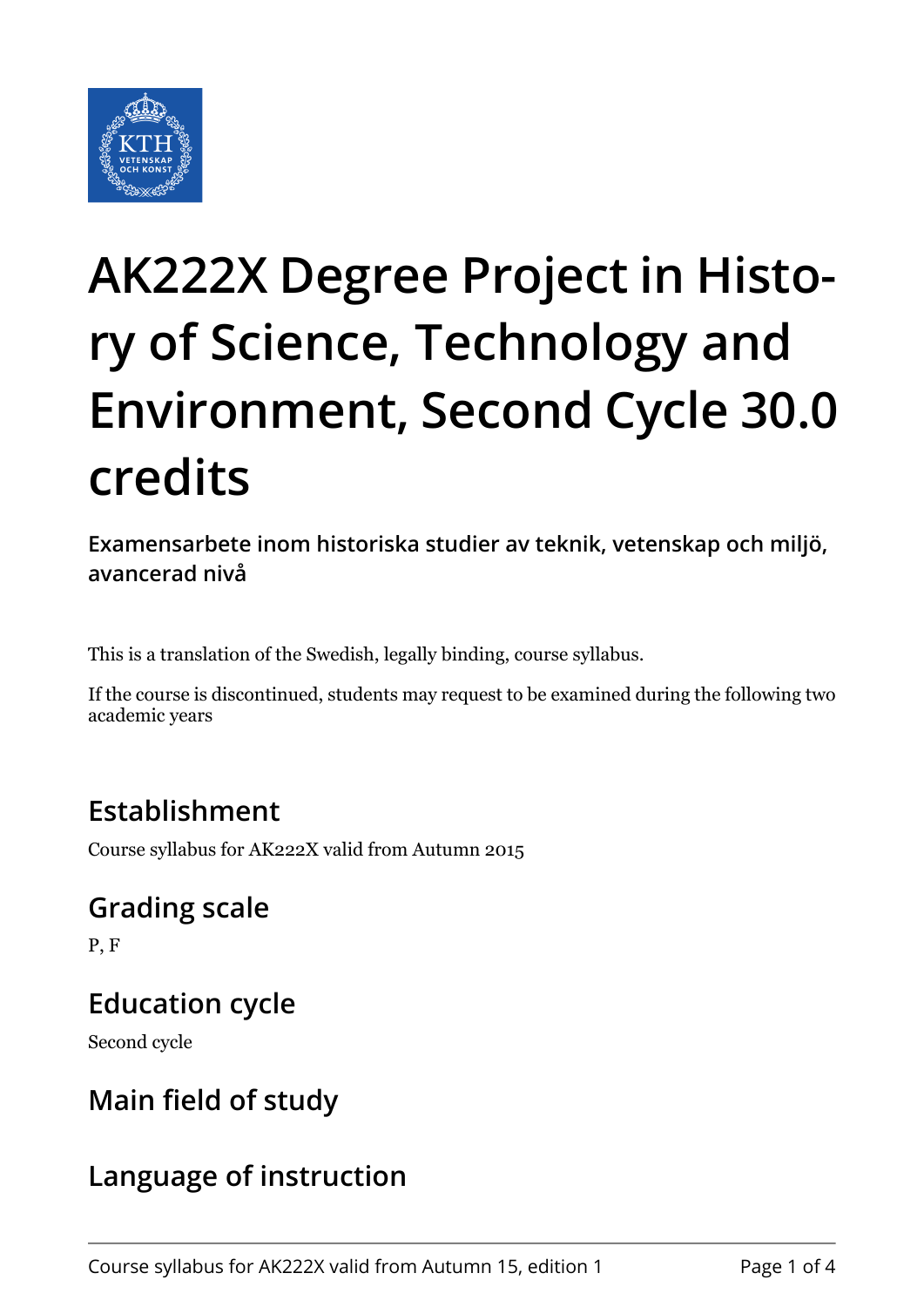

# **AK222X Degree Project in History of Science, Technology and Environment, Second Cycle 30.0 credits**

**Examensarbete inom historiska studier av teknik, vetenskap och miljö, avancerad nivå**

This is a translation of the Swedish, legally binding, course syllabus.

If the course is discontinued, students may request to be examined during the following two academic years

## **Establishment**

Course syllabus for AK222X valid from Autumn 2015

#### **Grading scale**

P, F

#### **Education cycle**

Second cycle

#### **Main field of study**

#### **Language of instruction**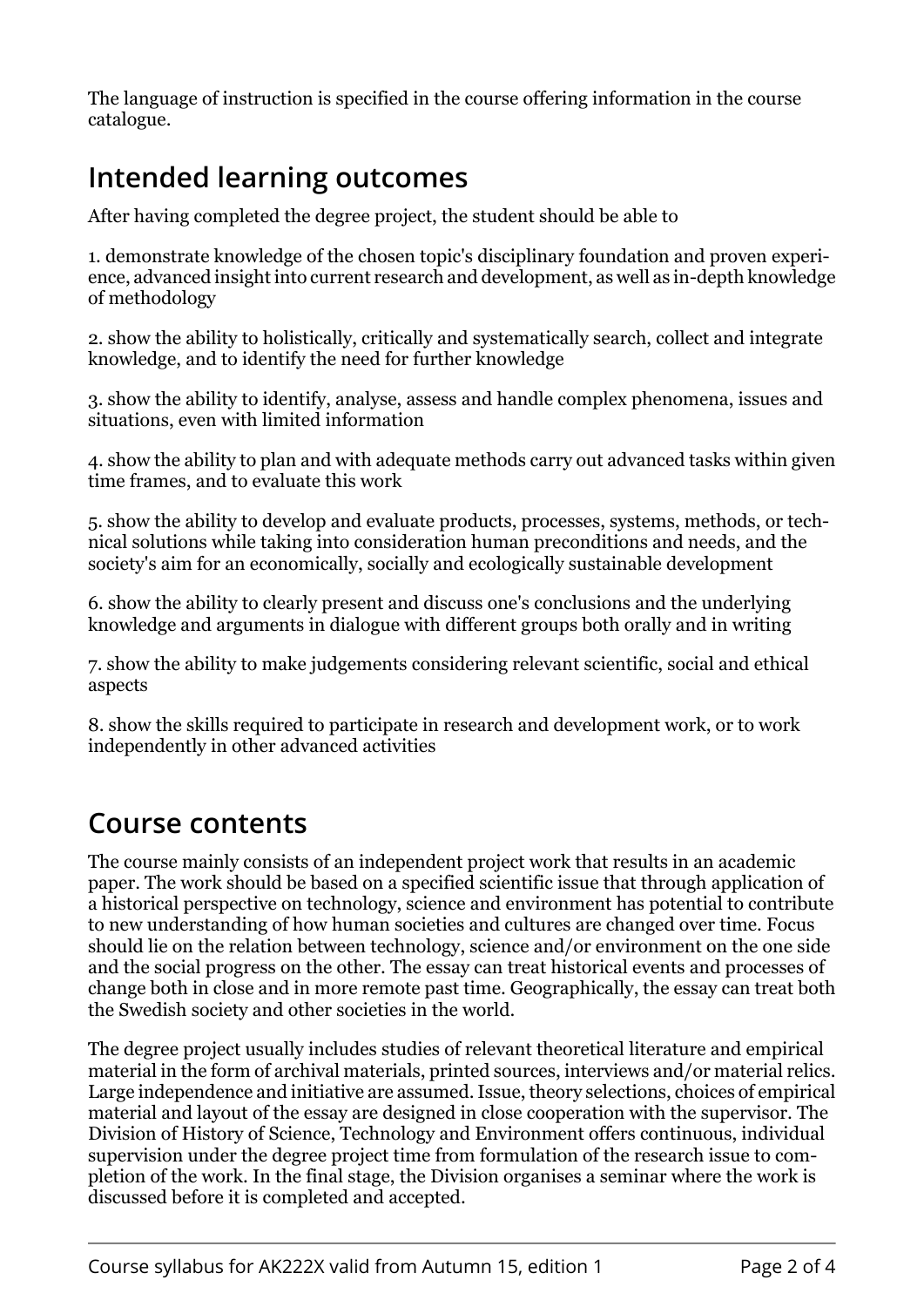The language of instruction is specified in the course offering information in the course catalogue.

## **Intended learning outcomes**

After having completed the degree project, the student should be able to

1. demonstrate knowledge of the chosen topic's disciplinary foundation and proven experience, advanced insight into current research and development, as well as in-depth knowledge of methodology

2. show the ability to holistically, critically and systematically search, collect and integrate knowledge, and to identify the need for further knowledge

3. show the ability to identify, analyse, assess and handle complex phenomena, issues and situations, even with limited information

4. show the ability to plan and with adequate methods carry out advanced tasks within given time frames, and to evaluate this work

5. show the ability to develop and evaluate products, processes, systems, methods, or technical solutions while taking into consideration human preconditions and needs, and the society's aim for an economically, socially and ecologically sustainable development

6. show the ability to clearly present and discuss one's conclusions and the underlying knowledge and arguments in dialogue with different groups both orally and in writing

7. show the ability to make judgements considering relevant scientific, social and ethical aspects

8. show the skills required to participate in research and development work, or to work independently in other advanced activities

#### **Course contents**

The course mainly consists of an independent project work that results in an academic paper. The work should be based on a specified scientific issue that through application of a historical perspective on technology, science and environment has potential to contribute to new understanding of how human societies and cultures are changed over time. Focus should lie on the relation between technology, science and/or environment on the one side and the social progress on the other. The essay can treat historical events and processes of change both in close and in more remote past time. Geographically, the essay can treat both the Swedish society and other societies in the world.

The degree project usually includes studies of relevant theoretical literature and empirical material in the form of archival materials, printed sources, interviews and/or material relics. Large independence and initiative are assumed. Issue, theory selections, choices of empirical material and layout of the essay are designed in close cooperation with the supervisor. The Division of History of Science, Technology and Environment offers continuous, individual supervision under the degree project time from formulation of the research issue to completion of the work. In the final stage, the Division organises a seminar where the work is discussed before it is completed and accepted.